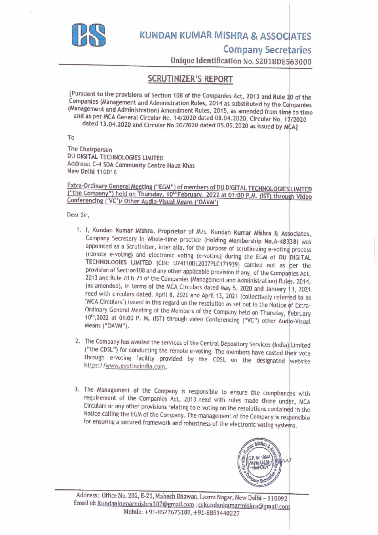

# KUNDAN KUMAR MISHRA & ASSOCIATES

Company Secretaries

Unique Identification No. \$2018DE563000

## SCRUTINIZER'S REPORT

[Pursuant to the provisions of Section 108 of the Companies Act, 2013 and Rule 20 of the (Management and Administration) Amendment Rules, 2015, as amended from time to time<br>and as per MCA General Circular No. 14/2020 dated 08.04.2020, Circular No. 17/2020 dated 13.04.2020 and Circular No 20/2020 dated 05.05.2020 as issued by MCA]

To

The Chairperson DU DIGITAL TECHNOLOGIES LIMITED Address: C-4 SDA Community Centre Hauz Khas<br>New Delhi 110016

Extra-Ordinary General Meeting ("EGM") of members of DU DIGITAL TECHNOLOGIES LIMITED<br>("the Company") held on Thursday, 10<sup>th</sup> February, 2022 at 01:00 P.M. (IST) through Video<br>Conferencing ('VC')/ Other Audio-Visual Means (

Dear Sir,

- 1. 1, Kundan Kumar Mishra, Proprietor of M/s. Kundan Kumar Mishra & Associates, Company Secretary in Whole-time practice (Holding Membership No.A-48338) was appointed as a Scrutinizer, inter alia, for the purpose of scrutinizing e-voting process (remote e-voting) and electronic voting (e-voting) during the EGM of DU DIGITAL<br>TECHNOLOGIES LIMITED (CIN: U74110DL2007PLC171939) carried out as per the<br>provision of Section108 and any other applicable provision if any, of 2013 and Rule 20 & 21 of the Companies (Management and Administration) Rules, 2014, (as amended), in terms of the MCA Circulars dated May 5, 2020 and January 13, 2021 read with circulars dated, April 8, 2020 and April 13, 2021 (collectively referred to as "MCA Circulars") issued in this regard on the resolution as set out in the Notice of Extra-Ordinary General Meeting of the Members of appointed as a Scrutinizer, inter alia<br>(remote e-voting) and electronic via TECHNOLOGIES LIMITED (CIN: U7-<br>provision of Section108 and any other<br>2013 and Rule 20 & 21 of the COmpan<br>(as amended), in terms of the MCA (read w
	- 2. The Company has availed the services of the Central Depository Services (India) Limited ("the CDSL") for conducting the remote e-voting. The members have casted their vote through e-voting facility provided by the CDSL
	- . The Management of the Company is responsible to ensure the compliances with requirement of the Companies Act, 2013 read with rules made there under, MCA Circulars or any other provisions relating to e-voting on the resolutions contained in the Notice calling the EGM of the Company. The management of the Company is responsible for ensuring a secured framework and robustness of the electronic voting systems.

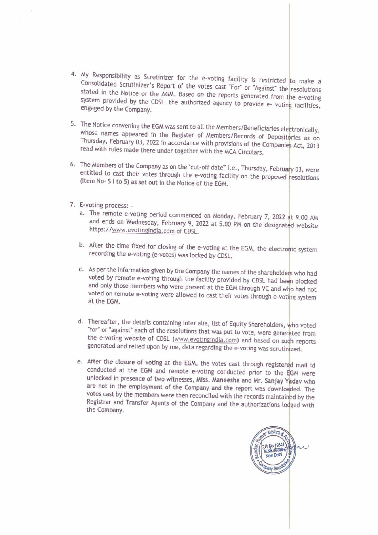- $\cdot$  My Responsibility as Scrutinizer for the e-voting facility is restricted to make a Consolidated Scrutinizer's Report of the votes cast "For" or "Against" the resolutions stated in the Notice or the AGM. Based on the reports generated from the e-voting system provided by the CDSL. the authorized agency to provide e-voting facilities, engaged by the Company.
- 5. The Notice convening the EGM was sent to all the Members/Beneficiaries electronically, whose names appeared in the Register of Members/Records of Depositories as on Thursday, February 03, 2022 in accordance with provisions of the Companies Act, 2013 read with rules made there under together with the MCA Circulars.
- 6. The Members of the Company as on the "cut-off date" i.e., Thursday, February 03, were entitled to cast their votes through the e-voting facility on the proposed resolutions (Item No- S | to 5) as set out in the Notice of the EGM.
- . E-voting process:
	- a. The remote e-voting period commenced on Monday, February 7, 2022 at 9.00 AM and ends on Wednesday, February 9, 2022 at 5.00 PM on the designated website https: //www.evotingindia.com of CDSL.
	- b. After the time fixed for closing of the e-voting at the EGM, the electronic system recording the e-voting (e-votes) was locked by CDSL.
	- . As per the information given by the Company the names of the shareholders who had voted by remote e-voting through the facility provided by CDSL had been blocked<br>and only those members who were present at the EGM through VC and who had not voted on remote e-voting were allowed to cast their votes through e-voting system at the EGM.
	- d. Thereafter, the details containing inter alia, list of Equity Shareholders, who voted "for" or "against" each of the resolutions that was put to vote, were generated from the e-voting website of CDSL (www.evotingindia.com) and based on such reports generated and relied upon by me, data regarding the e-voting was scrutinized.
	- e. After the closure of voting at the EGM, the votes cast through registered mail id<br>conducted at the EGM and remote e-voting conducted prior to the EGM were<br>unlocked in presence of two witnesses, Miss. Maneesha and Mr. Sa

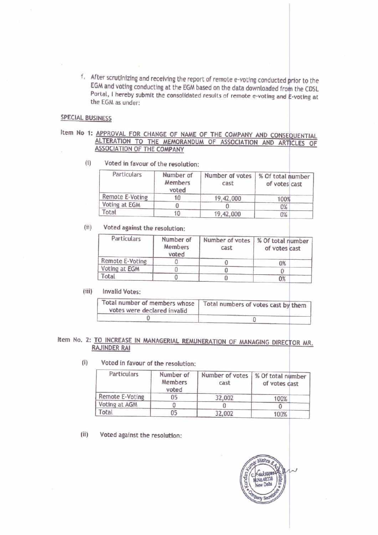f. After scrutinizing and receiving the report of remote e-voting conducted prior to the EGM and voting conducting at the EGM based on the data downloaded from the CDSL Portal, I hereby submit the consolidated results of remote e-voting and E-voting at the EGM as under: er scrutinizing and receiving the report<br>
M and voting conducting at the EGM base<br>
tal, I hereby submit the consolidated re<br>
EGM as under:<br>
NESS<br>
NESS<br>
NERE COMPARE OF NAME OF<br>
LTERATION TO THE MEMORANDUM<br>
SSOCIATION OF TH SCrutinizing and receiving the report of<br>
Individing conducting at the EGM based<br>
, I hereby submit the consolidated res<br>
SM as under:<br>
SS<br>
ROVAL FOR CHANGE OF NAME OF<br>
TRATION TO THE MEMORANDUM O er scrutinizing and receiving the report<br>
M and voting conducting at the EGM base<br>
tal, I hereby submit the consolidated r<br>
EGM as under:<br>
NESS<br>
NESS<br>
NESS<br>
NESS<br>
NERE COMPANY<br>
NESS<br>
NERE COMPANY<br>
Voted in favour of the re

#### SPECIAL BUSINESS

# Item No 1: APPROVAL FOR CHANGE OF NAME OF THE COMPANY AND CONSEQUENTIAL ALTERATION TO THE MEMORANDUM OF ASSOCIATION AND ARTICLES OF ASSOCIATION OF THE COMPANY

(i) Voted in favour of the resolution:

| ter scrutinizing and receiving the report of remote e-voting conducted prior to th                                                                               |                      |                                                              |                                    |  |
|------------------------------------------------------------------------------------------------------------------------------------------------------------------|----------------------|--------------------------------------------------------------|------------------------------------|--|
| M and voting conducting at the EGM based on the data downloaded from the CDS<br>rtal, I hereby submit the consolidated results of remote e-voting and E-voting a |                      |                                                              |                                    |  |
| e EGM as under:                                                                                                                                                  |                      |                                                              |                                    |  |
|                                                                                                                                                                  |                      |                                                              |                                    |  |
| <b>INESS</b>                                                                                                                                                     |                      |                                                              |                                    |  |
|                                                                                                                                                                  |                      | APPROVAL FOR CHANGE OF NAME OF THE COMPANY AND CONSEQUENTIAL |                                    |  |
|                                                                                                                                                                  |                      | ALTERATION TO THE MEMORANDUM OF ASSOCIATION AND ARTICLES OF  |                                    |  |
| ASSOCIATION OF THE COMPANY                                                                                                                                       |                      |                                                              |                                    |  |
| Voted in favour of the resolution:                                                                                                                               |                      |                                                              |                                    |  |
|                                                                                                                                                                  |                      |                                                              |                                    |  |
| Particulars                                                                                                                                                      | Number of<br>Members | Number of votes                                              | % Of total number                  |  |
|                                                                                                                                                                  | voted                | cast                                                         | of votes cast                      |  |
| Remote E-Voting                                                                                                                                                  | 10                   | 19,42,000                                                    | 100%                               |  |
| Voting at EGM                                                                                                                                                    | 0                    | 0                                                            | 0%                                 |  |
| Total                                                                                                                                                            | 10                   |                                                              |                                    |  |
|                                                                                                                                                                  |                      | 19,42,000                                                    | 0%                                 |  |
| Voted against the resolution:                                                                                                                                    |                      |                                                              |                                    |  |
| Particulars                                                                                                                                                      | Number of            | Number of votes                                              |                                    |  |
|                                                                                                                                                                  | Members              | cast                                                         | % Of total number<br>of votes cast |  |
| Remote E-Voting                                                                                                                                                  | voted<br>0           | 0                                                            |                                    |  |
| Voting at EGM<br>$T - b - 1$                                                                                                                                     | 0                    | 0                                                            | 0%<br>0                            |  |

### (ii) | Voted against the resolution:

| e EGM as under:                                                                            |                               | fter scrutinizing and receiving the report of remote e-voting conducted prior to th<br>GM and voting conducting at the EGM based on the data downloaded from the CD:<br>ortal, I hereby submit the consolidated results of remote e-voting and E-voting a |                                     |  |
|--------------------------------------------------------------------------------------------|-------------------------------|-----------------------------------------------------------------------------------------------------------------------------------------------------------------------------------------------------------------------------------------------------------|-------------------------------------|--|
| <b>INESS</b>                                                                               |                               |                                                                                                                                                                                                                                                           |                                     |  |
|                                                                                            |                               | APPROVAL FOR CHANGE OF NAME OF THE COMPANY AND CONSEQUENTIA                                                                                                                                                                                               |                                     |  |
|                                                                                            |                               | ALTERATION TO THE MEMORANDUM OF ASSOCIATION AND ARTICLES O                                                                                                                                                                                                |                                     |  |
| ASSOCIATION OF THE COMPANY                                                                 |                               |                                                                                                                                                                                                                                                           |                                     |  |
| Voted in favour of the resolution:                                                         |                               |                                                                                                                                                                                                                                                           |                                     |  |
| Particulars                                                                                | Number of                     | Number of votes                                                                                                                                                                                                                                           | % Of total number                   |  |
|                                                                                            | <b>Members</b>                | cast                                                                                                                                                                                                                                                      | of votes cast                       |  |
|                                                                                            | voted                         |                                                                                                                                                                                                                                                           |                                     |  |
| Remote E-Voting                                                                            | 10                            | 19,42,000                                                                                                                                                                                                                                                 | 100%                                |  |
| Voting at EGM                                                                              | $\theta$                      | 0                                                                                                                                                                                                                                                         | 0%                                  |  |
| Total                                                                                      | 10                            | 19,42,000                                                                                                                                                                                                                                                 | 0%                                  |  |
| Voted against the resolution:<br>Particulars                                               | Number of<br>Members<br>voted | Number of votes<br>cast                                                                                                                                                                                                                                   | % Of total number<br>of votes cast  |  |
| Remote E-Voting                                                                            | 0                             | 0                                                                                                                                                                                                                                                         | 0%                                  |  |
| Voting at EGM                                                                              | 0                             | 0                                                                                                                                                                                                                                                         | 0                                   |  |
| Total                                                                                      | 0                             | 0                                                                                                                                                                                                                                                         | 0%                                  |  |
| <b>Invalid Votes:</b><br>Total number of members whose<br>votes were declared invalid<br>U |                               |                                                                                                                                                                                                                                                           | Total numbers of votes cast by them |  |
|                                                                                            |                               |                                                                                                                                                                                                                                                           | $\bf{0}$                            |  |
| <b>AJINDER RAI</b><br>Voted in favour of the resolution:                                   |                               | TO INCREASE IN MANAGERIAL REMUNERATION OF MANAGING DIRECTOR MR.                                                                                                                                                                                           |                                     |  |
|                                                                                            |                               |                                                                                                                                                                                                                                                           |                                     |  |
| Particulars                                                                                | Number of<br>Members<br>voted | Number of votes<br>cast                                                                                                                                                                                                                                   | % Of total number<br>of votes cast  |  |
| Remote E-Voting                                                                            | 05                            | 32,002                                                                                                                                                                                                                                                    | 100%                                |  |
| Voting at AGM                                                                              | 0                             | 0                                                                                                                                                                                                                                                         | 0                                   |  |
|                                                                                            |                               |                                                                                                                                                                                                                                                           |                                     |  |

#### (iii) Invalid Votes:

| Total number of members whose<br>votes were declared invalid | Total numbers of votes cast by them |  |
|--------------------------------------------------------------|-------------------------------------|--|
|                                                              |                                     |  |

# Item No. 2: TO INCREASE IN MANAGERIAL REMUNERATION OF MANAGING DIRECTOR MR.<br>RAJINDER RAI

(i) Voted in favour of the resolution:

|                                                   |                                      | u                                                              | U%                                 |
|---------------------------------------------------|--------------------------------------|----------------------------------------------------------------|------------------------------------|
| Total                                             | 10                                   | 19,42,000                                                      | 0%                                 |
| Voted against the resolution:                     |                                      |                                                                |                                    |
| Particulars                                       | Number of<br>Members<br>voted        | Number of votes<br>cast                                        | % Of total number<br>of votes cast |
| Remote E-Voting                                   | 0                                    | 0                                                              | 0%                                 |
| Voting at EGM                                     | $\Omega$                             | 0                                                              | $\Omega$                           |
| Total                                             | 0                                    | 0                                                              | 0%                                 |
| votes were declared invalid                       |                                      | Total numbers of votes cast by them                            |                                    |
| 0                                                 |                                      |                                                                | $\bf{0}$                           |
| RAJINDER RAI                                      |                                      | TO INCREASE IN MANAGERIAL REMUNERATION OF MANAGING DIRECTOR MR |                                    |
| Voted in favour of the resolution:<br>Particulars | Number of<br><b>Members</b><br>voted | Number of votes<br>cast                                        | % Of total number<br>of votes cast |
| Remote E-Voting                                   | 05                                   |                                                                |                                    |
| Voting at AGM<br>Total                            | 0                                    | 32,002<br>0                                                    | 100%<br>0                          |

(ii) Voted against the resolution:

Mishra **THE READ OF THE READ OF THE READ OF THE READ OF THE READ OF THE READ OF THE READ OF THE READ OF THE READ OF THE READ OF THE READ OF THE READ OF THE READ OF THE READ OF THE RE**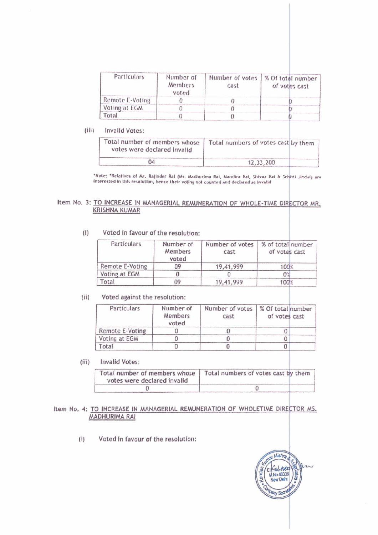| Particulars                                        | Number of<br><b>Members</b><br>voted | Number of votes<br>$C0$ st                                                                                                                                                                                                                                        | % Of total number<br>of votes cast |
|----------------------------------------------------|--------------------------------------|-------------------------------------------------------------------------------------------------------------------------------------------------------------------------------------------------------------------------------------------------------------------|------------------------------------|
| Remote E-Voting                                    | 0                                    | $\theta$                                                                                                                                                                                                                                                          |                                    |
| Voting at EGM                                      | 0                                    | $\Omega$                                                                                                                                                                                                                                                          |                                    |
| Total                                              | $\overline{0}$                       | $\sigma$                                                                                                                                                                                                                                                          | O                                  |
| 04                                                 |                                      |                                                                                                                                                                                                                                                                   | 12,33,200                          |
|                                                    |                                      |                                                                                                                                                                                                                                                                   |                                    |
| RISHNA KUMAR<br>Voted in favour of the resolution: |                                      | Note: "Relatives of Mr. Rajinder Rai (Ms. Madhurima Rai, Mandira Rai, Shivaz Rai & Seighti Jindai) are<br>terested in this resolution, hence their voting not counted and declared as invalid<br>O INCREASE IN MANAGERIAL REMUNERATION OF WHOLE-TIME DIRECTOR MR. |                                    |
| <b>Particulars</b>                                 | Number of<br>Members<br>voted        | Number of votes<br>cast                                                                                                                                                                                                                                           | % of total number<br>of votes cast |
| Remote E-Voting                                    | 09                                   | 19,41,999                                                                                                                                                                                                                                                         | 100%                               |
| Voting at EGM<br>Total                             | $\Omega$<br>09                       | $\Omega$                                                                                                                                                                                                                                                          | 0 <sup>th</sup>                    |

| (iii) | Invalld Votes:                                               |                                     |  |
|-------|--------------------------------------------------------------|-------------------------------------|--|
|       | Total number of members whose<br>votes were declared invalid | Total numbers of votes cast by them |  |
|       | 63.0                                                         | 12,33,200                           |  |

#### Item No. 3: TO INCREASE IN MANAGERIAL REMUNERATION OF WHOLE-TIME DIRECTOR MR. KRISHNA KUMAR

(i) Voted in favour of the resolution:

|                                                              | voted                         |                         |                                     |
|--------------------------------------------------------------|-------------------------------|-------------------------|-------------------------------------|
| Remote E-Voting                                              | $\Omega$                      | $\Omega$                |                                     |
| Voting at EGM                                                | 0                             | $\theta$                |                                     |
| Total                                                        | $\Omega$                      | $\sigma$                | Ω                                   |
| Invalld Votes:                                               |                               |                         |                                     |
| Total number of members whose<br>votes were declared invalid |                               |                         | Total numbers of votes cast by them |
| 04                                                           |                               |                         | 12,33,200                           |
| Voted in favour of the resolution:                           |                               |                         |                                     |
| Particulars                                                  | Number of<br>Members<br>voted | Number of votes<br>cast | % of total number<br>of votes cast  |
| Remote E-Voting                                              |                               |                         |                                     |
| Voting at EGM                                                |                               |                         |                                     |
|                                                              | 09<br>0                       | 19,41,999<br>O          | 100%<br>0 <sup>th</sup>             |
| Total                                                        | 09                            | 19,41,999               | 100 <sup>E</sup>                    |
| Voted against the resolution:<br>Particulars                 | Number of<br><b>Members</b>   | Number of votes<br>cast | of votes cast                       |
|                                                              | voted<br>$\Omega$             |                         | % Of total number                   |
| Remote E-Voting<br>Voting at EGM                             | $\mathbf{0}$                  | 0<br>0                  | 0<br>0                              |

#### (ii) Voted against the resolution:

| Total number of members whose<br>votes were declared invalid |                               | Total numbers of votes cast by them                                                                                                                                                             |                                    |  |
|--------------------------------------------------------------|-------------------------------|-------------------------------------------------------------------------------------------------------------------------------------------------------------------------------------------------|------------------------------------|--|
| 04                                                           |                               |                                                                                                                                                                                                 | 12,33,200                          |  |
|                                                              |                               | "Note: "Relatives of Mr. Rajinder Rai (Ms. Madhurima Rai, Mandira Rai, Shivaz Rai & Srighti Jindal) ar<br>interested in this resolution, hence their voting not counted and declared as invalid |                                    |  |
| KRISHNA KUMAR                                                |                               | TO INCREASE IN MANAGERIAL REMUNERATION OF WHOLE-TIME DIRECTOR MR                                                                                                                                |                                    |  |
| Voted in favour of the resolution:<br>Particulars            | Number of<br>Members<br>voted | Number of votes<br>cast                                                                                                                                                                         | % of total number<br>of votes cast |  |
| Remote E-Voting                                              | 09                            | 19,41,999                                                                                                                                                                                       | 100 <sup>o</sup>                   |  |
| Voting at EGM                                                | 0                             | $\Omega$                                                                                                                                                                                        | 0 <sup>th</sup>                    |  |
| Total                                                        | 09                            | 19,41,999                                                                                                                                                                                       | 100 <sup>2</sup>                   |  |
| Voted against the resolution:                                |                               |                                                                                                                                                                                                 |                                    |  |
| Particulars                                                  | Number of<br>Members<br>voted | Number of votes<br>cast                                                                                                                                                                         | % Of total number<br>of votes cast |  |
| Remote E-Voting                                              | 0                             | 0                                                                                                                                                                                               | 0                                  |  |
| Voting at EGM                                                | $\mathbf{0}$                  | 0                                                                                                                                                                                               | 0                                  |  |
| Total                                                        | $\theta$                      | 0                                                                                                                                                                                               | 0                                  |  |
| <b>Invalid Votes:</b>                                        |                               |                                                                                                                                                                                                 |                                    |  |
| Total number of members whose<br>votes were declared invalid |                               | Total numbers of votes cast by them                                                                                                                                                             |                                    |  |
| Ω                                                            |                               |                                                                                                                                                                                                 | 0                                  |  |

#### (iii) Invalid Votes:

| A Critical Part Property                                     |          |   |                                                                            |
|--------------------------------------------------------------|----------|---|----------------------------------------------------------------------------|
| Total                                                        | $\Omega$ | 0 | 0                                                                          |
| <b>Invalid Votes:</b>                                        |          |   |                                                                            |
| Total number of members whose<br>votes were declared invalid |          |   | Total numbers of votes cast by them                                        |
| 0                                                            |          |   | $\theta$                                                                   |
| ADHURIMA RAI                                                 |          |   | O INCREASE IN MANAGERIAL REMUNERATION OF WHOLETIME DIRECTOR MS.            |
| Voted in favour of the resolution:                           |          |   |                                                                            |
|                                                              |          |   | <b>Lumar Mishra</b><br><b>Aundan</b><br>Ē<br>New Dette<br><b>Party Sed</b> |
|                                                              |          |   |                                                                            |

#### Item No. 4: TO INCREASE IN MANAGERIAL REMUNERATION OF WHOLETIME DIRECTOR MS. /AADHURIMA RAI

(1) Voted fn favour of the resolution:

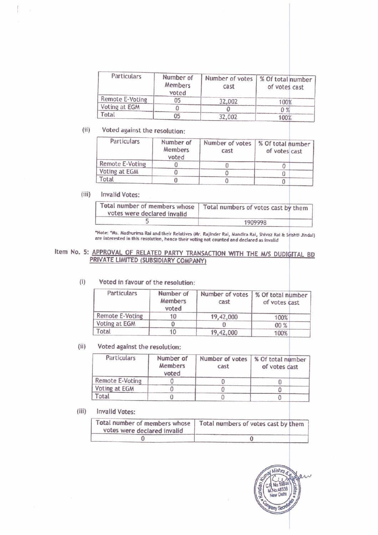| Particulars                                                                                                                                                                            | Number of            | Number of votes                     | % Of total number |  |
|----------------------------------------------------------------------------------------------------------------------------------------------------------------------------------------|----------------------|-------------------------------------|-------------------|--|
|                                                                                                                                                                                        | Members              | cast                                | of votes cast     |  |
|                                                                                                                                                                                        |                      |                                     |                   |  |
|                                                                                                                                                                                        | voted                |                                     |                   |  |
|                                                                                                                                                                                        | 05                   | 32,002                              | 100%              |  |
|                                                                                                                                                                                        | 0                    | 0                                   | $0\%$             |  |
|                                                                                                                                                                                        | 05                   | 32,002                              | 100%              |  |
| Voted against the resolution:                                                                                                                                                          |                      |                                     |                   |  |
| Particulars                                                                                                                                                                            |                      |                                     |                   |  |
|                                                                                                                                                                                        | Number of<br>Members | Number of votes<br>cast             | % Of total number |  |
|                                                                                                                                                                                        | voted                |                                     | of votes cast     |  |
|                                                                                                                                                                                        | 0                    | 0                                   |                   |  |
|                                                                                                                                                                                        | 0                    | 0                                   | 0<br>0            |  |
|                                                                                                                                                                                        | 0                    | 0                                   | 0                 |  |
|                                                                                                                                                                                        |                      |                                     |                   |  |
|                                                                                                                                                                                        |                      |                                     |                   |  |
| Remote E-Voting<br>Voting at EGM<br>Total<br><b>Remote E-Voting</b><br>Voting at EGM<br>Total<br><b>Invalid Votes:</b><br>Total number of members whose<br>votes were declared invalid |                      | Total numbers of votes cast by them |                   |  |

# (ii) | Voted against the resolution:

|                                     | $m$ c $m$ uers<br>voted              | Cast                                                                                                                                                                                                                                                                       | or votes cast                      |
|-------------------------------------|--------------------------------------|----------------------------------------------------------------------------------------------------------------------------------------------------------------------------------------------------------------------------------------------------------------------------|------------------------------------|
| Remote E-Voting                     | 05                                   | 32,002                                                                                                                                                                                                                                                                     | 100%                               |
| Voting at EGM                       | 0                                    | O                                                                                                                                                                                                                                                                          | $0\%$                              |
| Total                               | 05                                   | 32,002                                                                                                                                                                                                                                                                     | 100%                               |
| Voted against the resolution:       |                                      |                                                                                                                                                                                                                                                                            |                                    |
| Particulars                         | Number of<br><b>Members</b><br>voted | Number of votes<br>cast                                                                                                                                                                                                                                                    | % Of total number<br>of votes cast |
| Remote E-Voting                     | 0                                    | 0                                                                                                                                                                                                                                                                          | 0                                  |
| Voting at EGM                       | 0                                    | $\theta$                                                                                                                                                                                                                                                                   | 0                                  |
| Total                               | 0                                    | $\Omega$                                                                                                                                                                                                                                                                   | $\theta$                           |
| 5                                   |                                      |                                                                                                                                                                                                                                                                            | 1909998                            |
| RIVATE LIMITED (SUBSIDIARY COMPANY) |                                      | "Note: "Ms. Madhurima Rai and their Relatives (Mr. Rajinder Rai, Mandira Rai, Shivaz Rai & Srishti Jindal)<br>are interested in this resolution, hence their voting not counted and declared as invalid<br>APPROVAL OF RELATED PARTY TRANSACTION WITH THE M/S DUDIGITAL BD |                                    |
| Voted in favour of the resolution:  |                                      |                                                                                                                                                                                                                                                                            |                                    |
| Particulars                         | Number of<br><b>Members</b><br>voted | Number of votes<br>cast                                                                                                                                                                                                                                                    | % Of total number<br>of votes cast |
| <b>Remote E-Voting</b>              | 10                                   | 19,42,000                                                                                                                                                                                                                                                                  | 100%                               |
| Voting at EGM                       | $\Omega$                             | n.                                                                                                                                                                                                                                                                         | $on \omega$                        |

#### (iii)

Ť.

| Total number of members whose<br>votes were declared invalid | Total numbers of votes cast by them |
|--------------------------------------------------------------|-------------------------------------|
|                                                              | 1909998                             |

# Item No. 5: APPROVAL OF RELATED PARTY TRANSACTION WITH THE M/S DUDIGITAL BD<br>PRIVATE LIMITED (SUBSIDIARY COMPANY)

|                                                              | ,,,,,,,,,,,,<br>voted         | cast                                                            | or votes cast                       |
|--------------------------------------------------------------|-------------------------------|-----------------------------------------------------------------|-------------------------------------|
| <b>Remote E-Voting</b>                                       | 0                             | 0                                                               | 0                                   |
| Voting at EGM                                                | 0                             | $\theta$                                                        | 0                                   |
| Total                                                        | $\Omega$                      | $\theta$                                                        | $\Omega$                            |
| <b>Invalid Votes:</b>                                        |                               |                                                                 |                                     |
| Total number of members whose<br>votes were declared invalid |                               | Total numbers of votes cast by them                             |                                     |
|                                                              |                               |                                                                 | 1909998                             |
| PRIVATE LIMITED (SUBSIDIARY COMPANY)                         |                               | APPROVAL OF RELATED PARTY TRANSACTION WITH THE M/S DUDIGITAL BI |                                     |
| Voted in favour of the resolution:<br>Particulars            | Number of<br>Members          | Number of votes<br>cast                                         | % Of total number                   |
|                                                              | voted                         |                                                                 | of votes cast                       |
| <b>Remote E-Voting</b>                                       | 10                            | 19,42,000                                                       | 100%                                |
| Voting at EGM                                                | $\Omega$                      | O                                                               | 00 %                                |
| Total                                                        | 10                            | 19,42,000                                                       | 100%                                |
| Voted against the resolution:                                |                               |                                                                 |                                     |
| Particulars                                                  | Number of<br>Members<br>voted | Number of votes<br>cast                                         | % Of total number<br>of votes cast  |
| Remote E-Voting                                              | 0                             | 0                                                               | 0                                   |
| Voting at EGM                                                | $\theta$                      | 0                                                               | 0                                   |
| Total                                                        | $\Omega$                      | $\theta$                                                        | 0                                   |
| <b>Invalid Votes:</b>                                        |                               |                                                                 |                                     |
| Total number of members whose<br>Votes were declared invalid |                               |                                                                 | Total numbers of votes cast by them |

#### Voted in favour of the resolution: (i)

#### (ii) | Voted against the resolution:

| Particulars     | Number of<br>Members<br>voted | Number of votes<br>cast | % Of total number<br>of votes cast |
|-----------------|-------------------------------|-------------------------|------------------------------------|
| Remote E-Voting |                               |                         |                                    |
| Voting at EGM   |                               |                         |                                    |
| Total           |                               |                         |                                    |

#### (iii) Invalid Votes:

| Total number of members whose<br>votes were declared invalid | Total numbers of votes cast by them |  |
|--------------------------------------------------------------|-------------------------------------|--|
|                                                              |                                     |  |